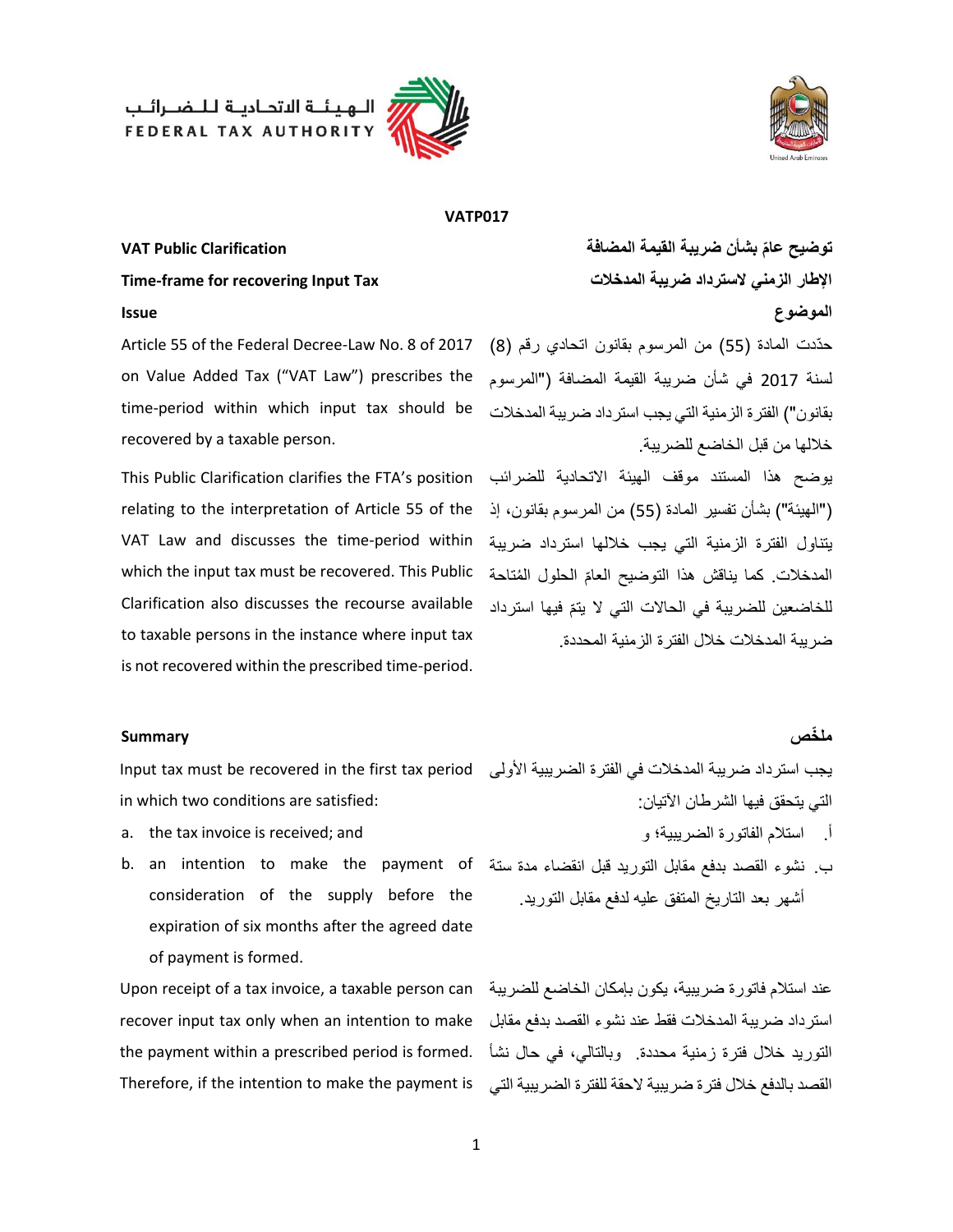الـهيئــة الاتحـاديــة لـلــضــرائــب<br>FEDERAL TAX AUTHORITY





### **VATP017**

## **Time-frame for recovering Input Tax المدخالت ضريبة السترداد الزمني اإلطار**

Article 55 of the Federal Decree-Law No. 8 of 2017 on Value Added Tax ("VAT Law") prescribes the time-period within which input tax should be recovered by a taxable person.

يوضح هذا المستند موقف الهيئة االتحادية للضرائب This Public Clarification clarifies the FTA's position relating to the interpretation of Article 55 of the إسلاميئة") بشأن تفسير المادة (55) من المرسوم بقانون، إذ يتناول الفترة الزمنية التي يجب خاللها استرداد ضريبة VAT Law and discusses the time-period within المدخلات. كما يناقش هذا التوضيح العامّ الحلول المُتاحة which the input tax must be recovered. This Public Clarification also discusses the recourse available to taxable persons in the instance where input tax is not recovered within the prescribed time-period.

### **توضيح عا بشأن ضريبة القيمة المضافة Clarification Public VAT م الموضوع Issue**

حدّدت المادة (55) من المرسوم بقانون اتحادي رقم (8) لسنة 2017 في شأن ضريبة القيمة المضافة )"المرسوم بقانون") الفترة الزمنية التي يجب استرداد ضريبة المدخلات خاللها من قبل الخاضع للضريبة.

للخاضعين للضريبة في الحالات التي لا يتمّ فيها استرداد ضريبة المدخالت خالل الفترة الزمنية المحددة.

### **مل خص Summary**

يجب استرداد ضريبة المدخالت في الفترة الضريبية األولى Input tax must be recovered in the first tax period in which two conditions are satisfied:

- a. the tax invoice is received; and
- ب. نشوء القصد بدفع مقابل التوريد قبل انقضاء مدة ستة b. an intention to make the payment of consideration of the supply before the expiration of six months after the agreed date of payment is formed.

عند استالم فاتورة ضريبية، يكون بإمكان الخاضع للضريبة Upon receipt of a tax invoice, a taxable person can استرداد ضريبة المدخالت فقط عند نشوء القصد بدفع مقابل recover input tax only when an intention to make التوريد خالل فترة زمنية محددة. وبالتالي، في حال نشأ the payment within a prescribed period is formed. Therefore, if the intention to make the payment is

التي يتحقق فيها الشرطان اآلتيان:

- أ. استالم الفاتورة الضريبية؛ و
- أشهر بعد التاريخ المتفق عليه لدفع مقابل التوريد.

القصد بالدفع خلال فترة ضريبية لاحقة للفترة الضريبية التي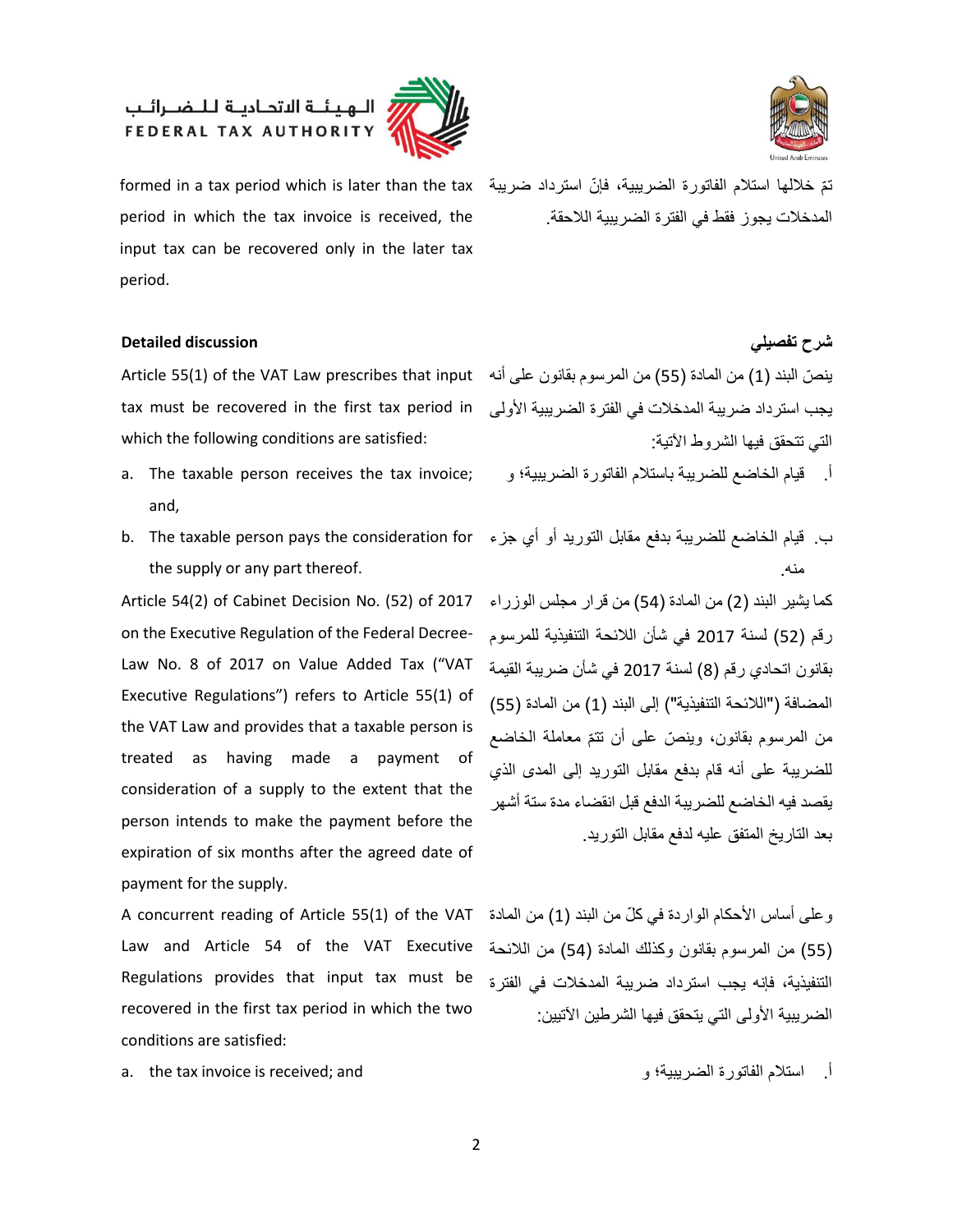## الــهـيـئــة الاتحــاديــة لــلــضــرائــب<br>FEDERAL TAX AUTHORITY





period in which the tax invoice is received, the input tax can be recovered only in the later tax period.

### **شرح تفصيلي discussion Detailed**

tax must be recovered in the first tax period in which the following conditions are satisfied:

- and,
- b. The taxable person pays the consideration for the supply or any part thereof.

بقانون اتحادي رقم )8( لسنة 2017 في شأن ضريبة القيمة Law No. 8 of 2017 on Value Added Tax ("VAT Article 54(2) of Cabinet Decision No. (52) of 2017 on the Executive Regulation of the Federal Decree-Executive Regulations") refers to Article 55(1) of the VAT Law and provides that a taxable person is treated as having made a payment of consideration of a supply to the extent that the person intends to make the payment before the expiration of six months after the agreed date of payment for the supply.

A concurrent reading of Article 55(1) of the VAT Law and Article 54 of the VAT Executive Regulations provides that input tax must be recovered in the first tax period in which the two conditions are satisfied:

a. the tax invoice is received; and و الضريبية؛ الفاتورة استالم .أ

تمّ خلالها استلام الفاتورة الضريبية، فإنّ استرداد ضريبة formed in a tax period which is later than the tax المدخالت يجوز فقط في الفترة الضريبية الالحقة.

ينصّ البند (1) من المادة (55) من المرسوم بقانون على أنه Article 55(1) of the VAT Law prescribes that input يجب استرداد ضريبة المدخلات في الفترة الضريبية الأولى التي تتحقق فيها الشروط اآلتية:

أ. قبام الخاضع للضريبة باستلام الفاتورة الضريبية؛ و ;a. The taxable person receives the tax invoice

ب. قيام الخاضع للضريبة بدفع مقابل التوريد أو أي جزء منه.

كما يشير البند (2) من المادة (54) من قرار مجلس الوزراء رقم )52( لسنة 2017 في شأن الالئحة التنفيذية للمرسوم المضافة ("اللائحة التنفيذية") إلى البند (1) من المادة (55) من المرسوم بقانون، وينصّ على أن نتمّ معاملة الخاضع للضريبة على أنه قام بدفع مقابل التوريد إلى المدى الذي يقصد فيه الخاضع للضريبة الدفع قبل انقضاء مدة ستة أشهر بعد التاريخ المتفق عليه لدفع مقابل التوريد.

وعلى أساس الأحكام الواردة في كلّ من البند (1) من المادة )55( من المرسوم بقانون وكذلك المادة )54( من الالئحة التنفيذية، فإنه يجب استرداد ضريبة المدخالت في الفترة الضريبية الأولى التي يتحقق فيها الشرطين الآتيين: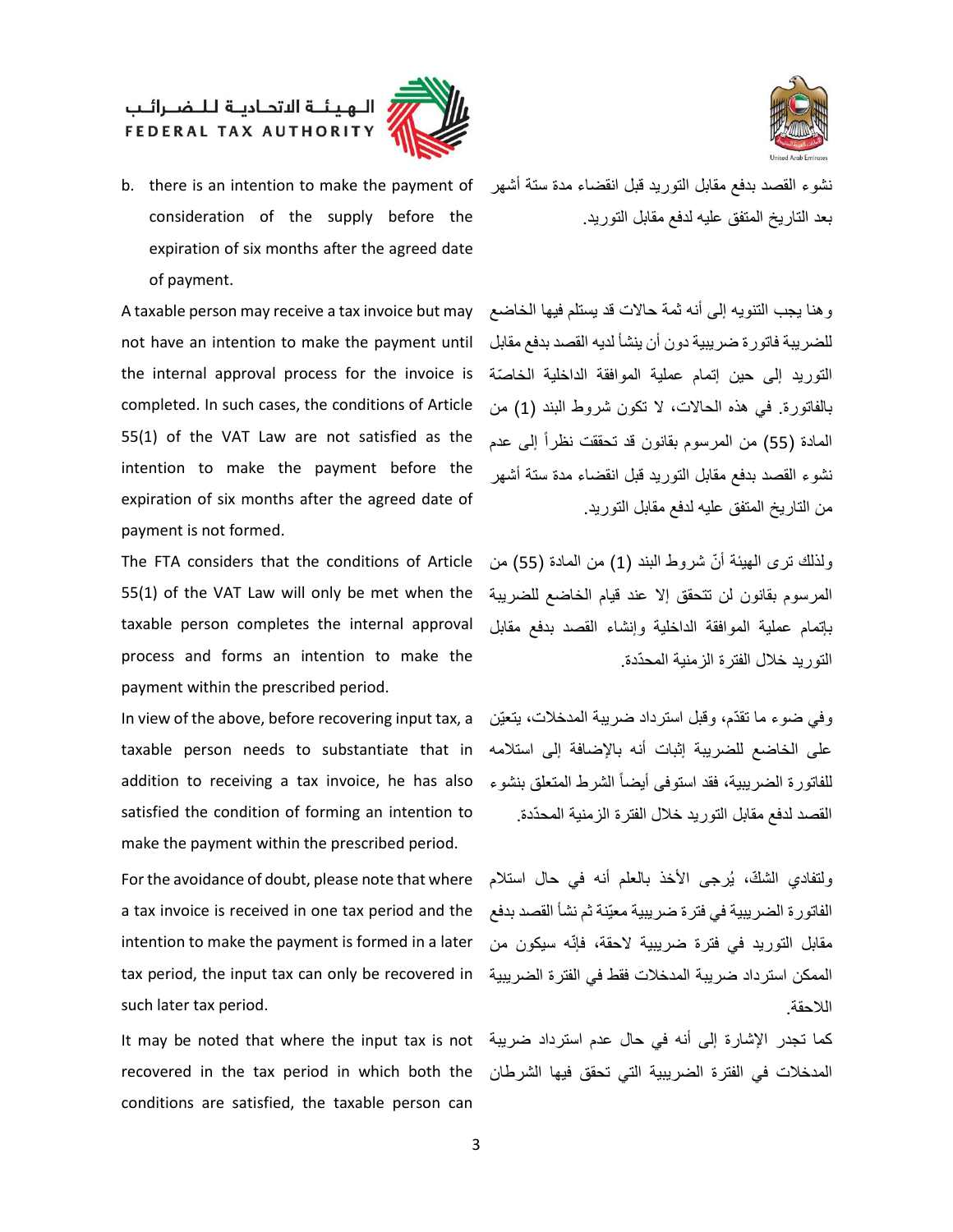

## الــهـيـئــة الاتحــاديــة لــلــضــرائــب<br>FEDERAL TAX AUTHORITY



وهنا يجب التنويه إلى أنه ثمة حاالت قد يستلم فيها الخاضع A taxable person may receive a tax invoice but may the internal approval process for the invoice is تلخلصتة the internal approval process for the invoice is not have an intention to make the payment until completed. In such cases, the conditions of Article 55(1) of the VAT Law are not satisfied as the intention to make the payment before the expiration of six months after the agreed date of payment is not formed.

The FTA considers that the conditions of Article 55(1) of the VAT Law will only be met when the taxable person completes the internal approval process and forms an intention to make the payment within the prescribed period.

على الخاضع للضريبة إثبات أنه باإلضافة إلى استالمه taxable person needs to substantiate that in In view of the above, before recovering input tax, a addition to receiving a tax invoice, he has also satisfied the condition of forming an intention to make the payment within the prescribed period.

For the avoidance of doubt, please note that where a tax invoice is received in one tax period and the intention to make the payment is formed in a later tax period, the input tax can only be recovered in such later tax period.

recovered in the tax period in which both the conditions are satisfied, the taxable person can



بعد التاريخ المتفق عليه لدفع مقابل التوريد.

للضريبة فاتورة ضريبية دون أن ينشأ لديه القصد بدفع مقابل بالفاتورة. في هذه الحاالت، ال تكون شروط البند )1( من المادة (55) من المرسوم بقانون قد تحققت نظراً إلى عدم نشوء القصد بدفع مقابل التوريد قبل انقضاء مدة ستة أشهر من التاريخ المتفق عليه لدفع مقابل التوريد.

ولذلك ترى المهيئة أنّ شروط البند (1) من المادة (55) من المرسوم بقانون لن تتحقق إال عند قيام الخاضع للضريبة بإتمام عملية الموافقة الداخلية وإنشاء القصد بدفع مقابل التوريد خلال الفتر ة الزمنية المحدّدة.

وفي ضوء ما تقدّم، وقبل استرداد ضريبة المدخلات، يتعيّن للفاتور ة الضريبية، فقد استوفى أيضاً الشرط المتعلق بنشوء القصد لدفع مقابل التوريد خالل الفترة الزمنية المح ّددة.

ولتفادي الشكّ، يُرجى الأخذ بالعلم أنه في حال استلام الفاتورة الضريبية في فترة ضريبية معيّنة ثم نشأ القصد بدفع مقابل التوريد في فترة ضريبية الحقة، فإنّه سيكون من الممكن استرداد ضريبة المدخالت فقط في الفترة الضريبية الالحقة.

كما تجدر اإلشارة إلى أنه في حال عدم استرداد ضريبة It may be noted that where the input tax is not المدخالت في الفترة الضريبية التي تحقق فيها الشرطان